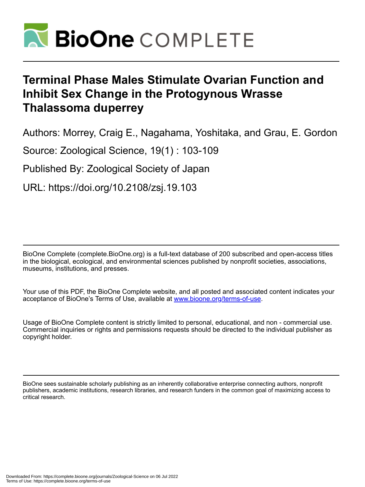

# **Terminal Phase Males Stimulate Ovarian Function and Inhibit Sex Change in the Protogynous Wrasse Thalassoma duperrey**

Authors: Morrey, Craig E., Nagahama, Yoshitaka, and Grau, E. Gordon

Source: Zoological Science, 19(1) : 103-109

Published By: Zoological Society of Japan

URL: https://doi.org/10.2108/zsj.19.103

BioOne Complete (complete.BioOne.org) is a full-text database of 200 subscribed and open-access titles in the biological, ecological, and environmental sciences published by nonprofit societies, associations, museums, institutions, and presses.

Your use of this PDF, the BioOne Complete website, and all posted and associated content indicates your acceptance of BioOne's Terms of Use, available at www.bioone.org/terms-of-use.

Usage of BioOne Complete content is strictly limited to personal, educational, and non - commercial use. Commercial inquiries or rights and permissions requests should be directed to the individual publisher as copyright holder.

BioOne sees sustainable scholarly publishing as an inherently collaborative enterprise connecting authors, nonprofit publishers, academic institutions, research libraries, and research funders in the common goal of maximizing access to critical research.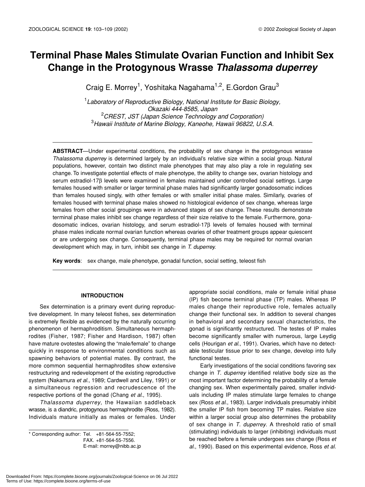# **Terminal Phase Males Stimulate Ovarian Function and Inhibit Sex Change in the Protogynous Wrasse** *Thalassoma duperrey*

Craig E. Morrey<sup>1</sup>, Yoshitaka Nagahama<sup>1,2</sup>, E.Gordon Grau<sup>3</sup>

 *Laboratory of Reproductive Biology, National Institute for Basic Biology, Okazaki 444-8585, Japan CREST, JST (Japan Science Technology and Corporation) Hawaii Institute of Marine Biology, Kaneohe, Hawaii 96822, U.S.A.*

**ABSTRACT**—Under experimental conditions, the probability of sex change in the protogynous wrasse *Thalassoma duperrey* is determined largely by an individual's relative size within a social group. Natural populations, however, contain two distinct male phenotypes that may also play a role in regulating sex change. To investigate potential effects of male phenotype, the ability to change sex, ovarian histology and serum estradiol-17β levels were examined in females maintained under controlled social settings. Large females housed with smaller or larger terminal phase males had significantly larger gonadosomatic indices than females housed singly, with other females or with smaller initial phase males. Similarly, ovaries of females housed with terminal phase males showed no histological evidence of sex change, whereas large females from other social groupings were in advanced stages of sex change. These results demonstrate terminal phase males inhibit sex change regardless of their size relative to the female. Furthermore, gonadosomatic indices, ovarian histology, and serum estradiol-17β levels of females housed with terminal phase males indicate normal ovarian function whereas ovaries of other treatment groups appear quiescent or are undergoing sex change. Consequently, terminal phase males may be required for normal ovarian development which may, in turn, inhibit sex change in *T. duperrey*.

**Key words**: sex change, male phenotype, gonadal function, social setting, teleost fish

# **INTRODUCTION**

Sex determination is a primary event during reproductive development. In many teleost fishes, sex determination is extremely flexible as evidenced by the naturally occurring phenomenon of hermaphroditism. Simultaneous hermaphrodites (Fisher, 1987; Fisher and Hardison, 1987) often have mature ovotestes allowing the "male/female" to change quickly in response to environmental conditions such as spawning behaviors of potential mates. By contrast, the more common sequential hermaphrodites show extensive restructuring and redevelopment of the existing reproductive system (Nakamura *et al*., 1989; Cardwell and Liley, 1991) or a simultaneous regression and recrudescence of the respective portions of the gonad (Chang *et al*., 1995).

*Thalassoma duperrey*, the Hawaiian saddleback wrasse, is a diandric, protogynous hermaphrodite (Ross, 1982). Individuals mature initially as males or females. Under

\* Corresponding author: Tel. +81-564-55-7552; FAX. +81-564-55-7556. E-mail: morrey@nibb.ac.jp appropriate social conditions, male or female initial phase (IP) fish become terminal phase (TP) males. Whereas IP males change their reproductive role, females actually change their functional sex. In addition to several changes in behavioral and secondary sexual characteristics, the gonad is significantly restructured. The testes of IP males become significantly smaller with numerous, large Leydig cells (Hourigan *et al*., 1991). Ovaries, which have no detectable testicular tissue prior to sex change, develop into fully functional testes.

Early investigations of the social conditions favoring sex change in *T. duperrey* identified relative body size as the most important factor determining the probability of a female changing sex. When experimentally paired, smaller individuals including IP males stimulate large females to change sex (Ross *et al*., 1983). Larger individuals presumably inhibit the smaller IP fish from becoming TP males. Relative size within a larger social group also determines the probability of sex change in *T. duperrey*. A threshold ratio of small (stimulating) individuals to larger (inhibiting) individuals must be reached before a female undergoes sex change (Ross *et al*., 1990). Based on this experimental evidence, Ross *et al.*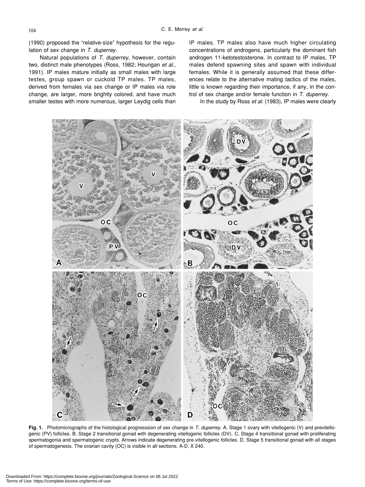(1990) proposed the "relative-size" hypothesis for the regulation of sex change in *T. duperrey.*

Natural populations of *T. duperrey*, however, contain two, distinct male phenotypes (Ross, 1982; Hourigan *et al*., 1991). IP males mature initially as small males with large testes, group spawn or cuckold TP males. TP males, derived from females via sex change or IP males via role change, are larger, more brightly colored, and have much smaller testes with more numerous, larger Leydig cells than IP males. TP males also have much higher circulating concentrations of androgens, particularly the dominant fish androgen 11-ketotestosterone. In contrast to IP males, TP males defend spawning sites and spawn with individual females. While it is generally assumed that these differences relate to the alternative mating tactics of the males, little is known regarding their importance, if any, in the control of sex change and/or female function in *T. duperrey*.

In the study by Ross *et al*. (1983), IP males were clearly



**Fig. 1.** Photomicrographs of the histological progresssion of sex change in *T. duperrey*. A, Stage 1 ovary with vitellogenic (V) and previtellogenic (PV) follicles. B, Stage 2 transitional gonad with degenerating vitellogenic follicles (DV). C, Stage 4 transitional gonad with proliferating spermatogonia and spermatogenic crypts. Arrows indicate degenerating pre-vitellogenic follicles. D, Stage 5 transitional gonad with all stages of spermatogenesis. The ovarian cavity (OC) is visible in all sections. A-D, X 240.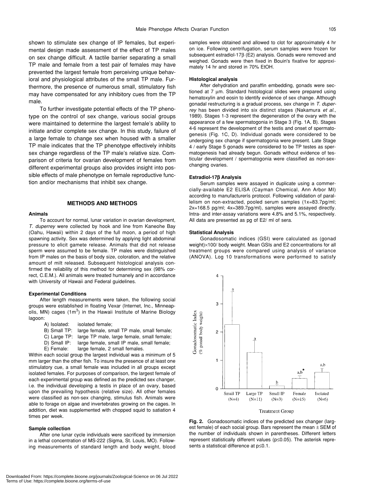shown to stimulate sex change of IP females, but experimental design made assessment of the effect of TP males on sex change difficult. A tactile barrier separating a small TP male and female from a test pair of females may have prevented the largest female from perceiving unique behavioral and physiological attributes of the small TP male. Furthermore, the presence of numerous small, stimulatory fish may have compensated for any inhibitory cues from the TP male.

To further investigate potential effects of the TP phenotype on the control of sex change, various social groups were maintained to determine the largest female's ability to initiate and/or complete sex change. In this study, failure of a large female to change sex when housed with a smaller TP male indicates that the TP phenotype effectively inhibits sex change regardless of the TP male's relative size. Comparison of criteria for ovarian development of females from different experimental groups also provides insight into possible effects of male phenotype on female reproductive function and/or mechanisms that inhibit sex change.

# **METHODS AND METHODS**

#### **Animals**

To account for normal, lunar variation in ovarian development, *T. duperrey* were collected by hook and line from Kaneohe Bay (Oahu, Hawaii) within 2 days of the full moon, a period of high spawning activity. Sex was determined by applying light abdominal pressure to elicit gamete release. Animals that did not release sperm were assumed to be female. TP males were distinguished from IP males on the basis of body size, coloration, and the relative amount of milt released. Subsequent histological analysis confirmed the reliability of this method for determining sex (98% correct, C.E.M.). All animals were treated humanely and in accordance with University of Hawaii and Federal guidelines.

#### **Experimental Conditions**

After length measurements were taken, the following social groups were established in floating Vexar (Internet, Inc., Minneapolis, MN) cages  $(1m^3)$  in the Hawaii Institute of Marine Biology lagoon:

| A) Isolated: |  | isolated female; |  |  |
|--------------|--|------------------|--|--|
|              |  |                  |  |  |

|     |  | B) Small TP: large female, small TP male, small female; |  |  |  |
|-----|--|---------------------------------------------------------|--|--|--|
| - - |  | _____                                                   |  |  |  |

- C) Large TP: large TP male, large female, small female;
- D) Small IP: large female, small IP male, small female;
- E) Female: large female, 2 small females.

Within each social group the largest individual was a minimum of 5 mm larger than the other fish. To insure the presence of at least one stimulatory cue, a small female was included in all groups except isolated females. For purposes of comparison, the largest female of each experimental group was defined as the predicted sex changer, i.e. the individual developing a testis in place of an ovary, based upon the prevailing hypothesis (relative size). All other females were classified as non-sex changing, stimulus fish. Animals were able to forage on algae and invertebrates growing on the cages. In addition, diet was supplemented with chopped squid to satiation 4 times per week.

#### **Sample collection**

After one lunar cycle individuals were sacrificed by immersion in a lethal concentration of MS-222 (Sigma, St. Louis, MO). Following measurements of standard length and body weight, blood samples were obtained and allowed to clot for approximately 4 hr on ice. Following centrifugation, serum samples were frozen for subsequent estradiol-17β (E2) analysis. Gonads were removed and weighed. Gonads were then fixed in Bouin's fixative for approximately 14 hr and stored in 70% EtOH.

#### **Histological analysis**

After dehydration and paraffin embedding, gonads were sectioned at 7 µm. Standard histological slides were prepared using hematoxylin and eosin to identify evidence of sex change. Although gonadal restructuring is a gradual process, sex change in *T. duperrey* has been divided into six distinct stages (Nakamura *et al*., 1989). Stages 1-3 represent the degeneration of the ovary with the appearance of a few spermatogonia in Stage 3 (Fig. 1A, B). Stages 4-6 represent the development of the testis and onset of spermatogenesis (Fig. 1C, D). Individual gonads were considered to be undergoing sex change if spermatogonia were present. Late Stage 4 / early Stage 5 gonads were considered to be TP testes as spermatogenesis had already begun. Gonads without evidence of testicular development / spermatogonia were classified as non-sexchanging ovaries.

#### **Estradiol-17**β **Analysis**

Serum samples were assayed in duplicate using a commercially-available E2 ELISA (Cayman Chemical, Ann Arbor MI) according to manufacturerís protocol. Following validation of parallelism on non-extracted, pooled serum samples (1x=83.7pg/ml; 2x=168.5 pg/ml; 4x=389.7pg/ml), samples were assayed directly. Intra- and inter-assay variations were 4.8% and 5.1%, respectively. All data are presented as pg of E2/ ml of sera.

#### **Statistical Analysis**

Gonadosomatic indices (GSI) were calculated as (gonad weight)×100/ body weight. Mean GSIs and E2 concentrations for all treatment groups were compared using analysis of variance (ANOVA). Log 10 transformations were performed to satisfy



**Fig. 2.** Gonadosomatic indices of the predicted sex changer (largest female) of each social group. Bars represent the mean  $\pm$  SEM of the number of individuals shown in parentheses. Different letters represent statistically different values (p≤0.05). The asterisk represents a statistical difference at p≤0.1.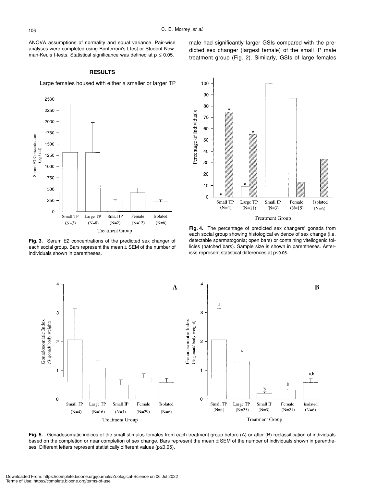ANOVA assumptions of normality and equal variance. Pair-wise analyses were completed using Bonferroni's t-test or Student-Newman-Keuls t-tests. Statistical significance was defined at  $p \le 0.05$ .

# **RESULTS**

Large females housed with either a smaller or larger TP



**Fig. 3.** Serum E2 concentrations of the predicted sex changer of each social group. Bars represent the mean  $\pm$  SEM of the number of individuals shown in parentheses.



**Fig. 4.** The percentage of predicted sex changers' gonads from each social group showing histological evidence of sex change (i.e. detectable spermatogonia; open bars) or containing vitellogenic follicles (hatched bars). Sample size is shown in parentheses. Aster-

isks represent statistical differences at p≤0.05.



**Fig. 5.** Gonadosomatic indices of the small stimulus females from each treatment group before (A) or after (B) reclassification of individuals based on the completion or near completion of sex change. Bars represent the mean  $\pm$  SEM of the number of individuals shown in parentheses. Different letters represent statistically different values (p≤0.05).

male had significantly larger GSIs compared with the predicted sex changer (largest female) of the small IP male treatment group (Fig. 2). Similarly, GSIs of large females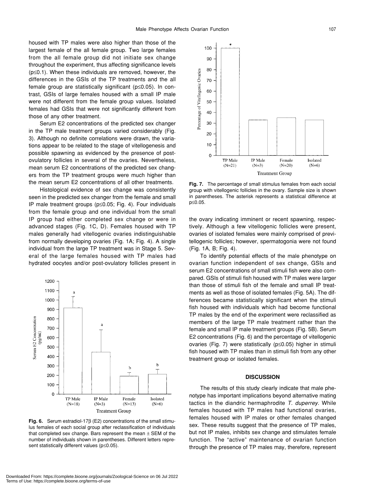housed with TP males were also higher than those of the largest female of the all female group. Two large females from the all female group did not initiate sex change throughout the experiment, thus affecting significance levels (p≤0.1). When these individuals are removed, however, the differences in the GSIs of the TP treatments and the all female group are statistically significant (p≤0.05). In contrast, GSIs of large females housed with a small IP male were not different from the female group values. Isolated females had GSIs that were not significantly different from those of any other treatment.

Serum E2 concentrations of the predicted sex changer in the TP male treatment groups varied considerably (Fig. 3). Although no definite correlations were drawn, the variations appear to be related to the stage of vitellogenesis and possible spawning as evidenced by the presence of postovulatory follicles in several of the ovaries. Nevertheless, mean serum E2 concentrations of the predicted sex changers from the TP treatment groups were much higher than the mean serum E2 concentrations of all other treatments.

Histological evidence of sex change was consistently seen in the predicted sex changer from the female and small IP male treatment groups (p≤0.05; Fig. 4). Four individuals from the female group and one individual from the small IP group had either completed sex change or were in advanced stages (Fig. 1C, D). Females housed with TP males generally had vitellogenic ovaries indistinguishable from normally developing ovaries (Fig. 1A; Fig. 4). A single individual from the large TP treatment was in Stage 5. Several of the large females housed with TP males had hydrated oocytes and/or post-ovulatory follicles present in



**Fig. 6.** Serum estradiol-17β (E2) concentrations of the small stimulus females of each social group after reclassification of individuals that completed sex change. Bars represent the mean  $\pm$  SEM of the number of individuals shown in parentheses. Different letters represent statistically different values (p≤0.05).



**Fig. 7.** The percentage of small stimulus females from each social group with vitellogenic follicles in the ovary. Sample size is shown in parentheses. The asterisk represents a statistical difference at p≤0.05.

the ovary indicating imminent or recent spawning, respectively. Although a few vitellogenic follicles were present, ovaries of isolated females were mainly comprised of previtellogenic follicles; however, spermatogonia were not found (Fig. 1A, B; Fig. 4).

To identify potential effects of the male phenotype on ovarian function independent of sex change, GSIs and serum E2 concentrations of small stimuli fish were also compared. GSIs of stimuli fish housed with TP males were larger than those of stimuli fish of the female and small IP treatments as well as those of isolated females (Fig. 5A). The differences became statistically significant when the stimuli fish housed with individuals which had become functional TP males by the end of the experiment were reclassified as members of the large TP male treatment rather than the female and small IP male treatment groups (Fig. 5B). Serum E2 concentrations (Fig. 6) and the percentage of vitellogenic ovaries (Fig. 7) were statistically (p≤0.05) higher in stimuli fish housed with TP males than in stimuli fish from any other treatment group or isolated females.

## **DISCUSSION**

The results of this study clearly indicate that male phenotype has important implications beyond alternative mating tactics in the diandric hermaphrodite *T. duperrey*. While females housed with TP males had functional ovaries, females housed with IP males or other females changed sex. These results suggest that the presence of TP males, but not IP males, inhibits sex change and stimulates female function. The "active" maintenance of ovarian function through the presence of TP males may, therefore, represent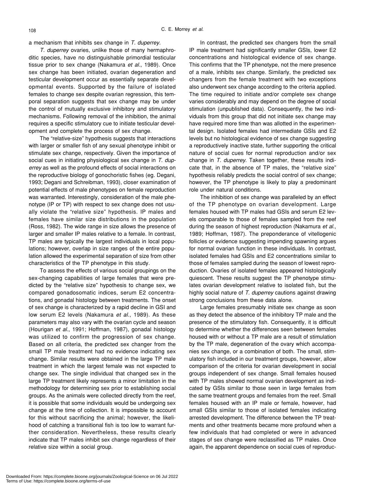a mechanism that inhibits sex change in *T. duperrey.*

*T. duperrey* ovaries, unlike those of many hermaphroditic species, have no distinguishable primordial testicular tissue prior to sex change (Nakamura *et al.*, 1989). Once sex change has been initiated, ovarian degeneration and testicular development occur as essentially separate developmental events. Supported by the failure of isolated females to change sex despite ovarian regression, this temporal separation suggests that sex change may be under the control of mutually exclusive inhibitory and stimulatory mechanisms. Following removal of the inhibition, the animal requires a specific stimulatory cue to initiate testicular development and complete the process of sex change.

The "relative-size" hypothesis suggests that interactions with larger or smaller fish of any sexual phenotype inhibit or stimulate sex change, respectively. Given the importance of social cues in initiating physiological sex change in *T. duperrey* as well as the profound effects of social interactions on the reproductive biology of gonochoristic fishes (eg. Degani, 1993; Degani and Schreibman, 1993), closer examination of potential effects of male phenotypes on female reproduction was warranted. Interestingly, consideration of the male phenotype (IP or TP) with respect to sex change does not usually violate the "relative size" hypothesis. IP males and females have similar size distributions in the population (Ross, 1982). The wide range in size allows the presence of larger and smaller IP males relative to a female. In contrast, TP males are typically the largest individuals in local populations; however, overlap in size ranges of the entire population allowed the experimental separation of size from other characteristics of the TP phenotype in this study.

To assess the effects of various social groupings on the sex-changing capabilities of large females that were predicted by the "relative size" hypothesis to change sex, we compared gonadosomatic indices, serum E2 concentrations, and gonadal histology between treatments. The onset of sex change is characterized by a rapid decline in GSI and low serum E2 levels (Nakamura *et al*., 1989). As these parameters may also vary with the ovarian cycle and season (Hourigan *et al*., 1991; Hoffman, 1987), gonadal histology was utilized to confirm the progression of sex change. Based on all criteria, the predicted sex changer from the small TP male treatment had no evidence indicating sex change. Similar results were obtained in the large TP male treatment in which the largest female was not expected to change sex. The single individual that changed sex in the large TP treatment likely represents a minor limitation in the methodology for determining sex prior to establishing social groups. As the animals were collected directly from the reef, it is possible that some individuals would be undergoing sex change at the time of collection. It is impossible to account for this without sacrificing the animal; however, the likelihood of catching a transitional fish is too low to warrant further consideration. Nevertheless, these results clearly indicate that TP males inhibit sex change regardless of their relative size within a social group.

In contrast, the predicted sex changers from the small IP male treatment had significantly smaller GSIs, lower E2 concentrations and histological evidence of sex change. This confirms that the TP phenotype, not the mere presence of a male, inhibits sex change. Similarly, the predicted sex changers from the female treatment with two exceptions also underwent sex change according to the criteria applied. The time required to initiate and/or complete sex change varies considerably and may depend on the degree of social stimulation (unpublished data). Consequently, the two individuals from this group that did not initiate sex change may have required more time than was allotted in the experimental design. Isolated females had intermediate GSIs and E2 levels but no histological evidence of sex change suggesting a reproductively inactive state, further supporting the critical nature of social cues for normal reproduction and/or sex change in *T. duperrey*. Taken together, these results indicate that, in the absence of TP males, the "relative size" hypothesis reliably predicts the social control of sex change; however, the TP phenotype is likely to play a predominant role under natural conditions.

The inhibition of sex change was paralleled by an effect of the TP phenotype on ovarian development. Large females housed with TP males had GSIs and serum E2 levels comparable to those of females sampled from the reef during the season of highest reproduction (Nakamura *et al*., 1989; Hoffman, 1987). The preponderance of vitellogenic follicles or evidence suggesting impending spawning argues for normal ovarian function in these individuals. In contrast, isolated females had GSIs and E2 concentrations similar to those of females sampled during the season of lowest reproduction. Ovaries of isolated females appeared histologically quiescent. These results suggest the TP phenotype stimulates ovarian development relative to isolated fish, but the highly social nature of *T. duperrey* cautions against drawing strong conclusions from these data alone.

Large females presumably initiate sex change as soon as they detect the absence of the inhibitory TP male and the presence of the stimulatory fish. Consequently, it is difficult to determine whether the differences seen between females housed with or without a TP male are a result of stimulation by the TP male, degeneration of the ovary which accompanies sex change, or a combination of both. The small, stimulatory fish included in our treatment groups, however, allow comparison of the criteria for ovarian development in social groups independent of sex change. Small females housed with TP males showed normal ovarian development as indicated by GSIs similar to those seen in large females from the same treatment groups and females from the reef. Small females housed with an IP male or female, however, had small GSIs similar to those of isolated females indicating arrested development. The difference between the TP treatments and other treatments became more profound when a few individuals that had completed or were in advanced stages of sex change were reclassified as TP males. Once again, the apparent dependence on social cues of reproduc